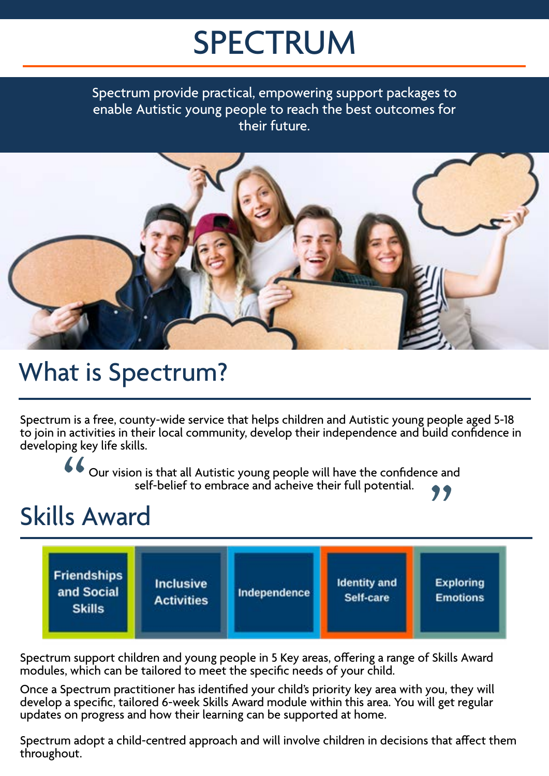# SPECTRUM

Spectrum provide practical, empowering support packages to enable Autistic young people to reach the best outcomes for their future.



## What is Spectrum?

Spectrum is a free, county-wide service that helps children and Autistic young people aged 5-18 to join in activities in their local community, develop their independence and build confidence in developing key life skills.

Cour vision is that all Autistic young people will have the confidence and self-belief to embrace and acheive their full potential. Our vision is that all Autistic young people will have the confidence and self-belief to embrace and acheive their full potential.

## Skills Award



Spectrum support children and young people in 5 Key areas, offering a range of Skills Award modules, which can be tailored to meet the specific needs of your child.

Once a Spectrum practitioner has identified your child's priority key area with you, they will develop a specific, tailored 6-week Skills Award module within this area. You will get regular updates on progress and how their learning can be supported at home.

Spectrum adopt a child-centred approach and will involve children in decisions that affect them throughout.